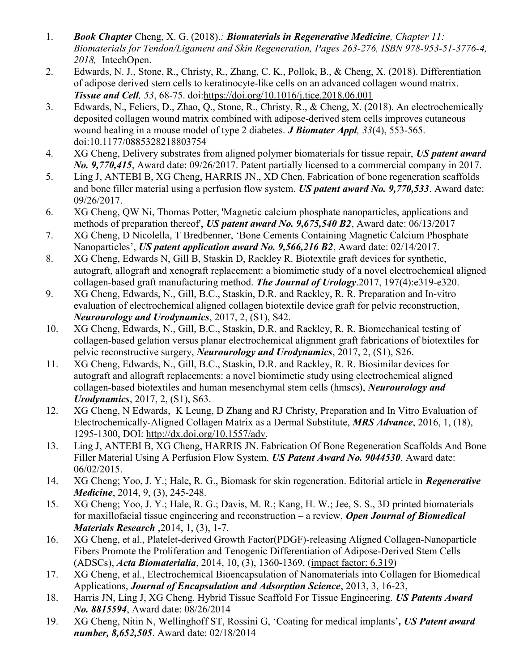- 1. Book Chapter Cheng, X. G. (2018).: Biomaterials in Regenerative Medicine, Chapter 11: Biomaterials for Tendon/Ligament and Skin Regeneration, Pages 263-276, ISBN 978-953-51-3776-4, 2018, IntechOpen.
- 2. Edwards, N. J., Stone, R., Christy, R., Zhang, C. K., Pollok, B., & Cheng, X. (2018). Differentiation of adipose derived stem cells to keratinocyte-like cells on an advanced collagen wound matrix. Tissue and Cell, 53, 68-75. doi:https://doi.org/10.1016/j.tice.2018.06.001
- 3. Edwards, N., Feliers, D., Zhao, Q., Stone, R., Christy, R., & Cheng, X. (2018). An electrochemically deposited collagen wound matrix combined with adipose-derived stem cells improves cutaneous wound healing in a mouse model of type 2 diabetes. **J Biomater Appl**, 33(4), 553-565. doi:10.1177/0885328218803754
- 4. XG Cheng, Delivery substrates from aligned polymer biomaterials for tissue repair, US patent award No. 9,770,415, Award date: 09/26/2017. Patent partially licensed to a commercial company in 2017.
- 5. Ling J, ANTEBI B, XG Cheng, HARRIS JN., XD Chen, Fabrication of bone regeneration scaffolds and bone filler material using a perfusion flow system. US patent award No. 9,770,533. Award date: 09/26/2017.
- 6. XG Cheng, QW Ni, Thomas Potter, 'Magnetic calcium phosphate nanoparticles, applications and methods of preparation thereof', US patent award No. 9,675,540 B2, Award date: 06/13/2017
- 7. XG Cheng, D Nicolella, T Bredbenner, 'Bone Cements Containing Magnetic Calcium Phosphate Nanoparticles', US patent application award No. 9,566,216 B2, Award date: 02/14/2017.
- 8. XG Cheng, Edwards N, Gill B, Staskin D, Rackley R. Biotextile graft devices for synthetic, autograft, allograft and xenograft replacement: a biomimetic study of a novel electrochemical aligned collagen-based graft manufacturing method. The Journal of Urology.  $2017$ , 197(4): e319-e320.
- 9. XG Cheng, Edwards, N., Gill, B.C., Staskin, D.R. and Rackley, R. R. Preparation and In-vitro evaluation of electrochemical aligned collagen biotextile device graft for pelvic reconstruction, Neurourology and Urodynamics, 2017, 2, (S1), S42.
- 10. XG Cheng, Edwards, N., Gill, B.C., Staskin, D.R. and Rackley, R. R. Biomechanical testing of collagen-based gelation versus planar electrochemical alignment graft fabrications of biotextiles for pelvic reconstructive surgery, Neurourology and Urodynamics, 2017, 2, (S1), S26.
- 11. XG Cheng, Edwards, N., Gill, B.C., Staskin, D.R. and Rackley, R. R. Biosimilar devices for autograft and allograft replacements: a novel biomimetic study using electrochemical aligned collagen-based biotextiles and human mesenchymal stem cells (hmscs), Neurourology and Urodynamics, 2017, 2, (S1), S63.
- 12. XG Cheng, N Edwards, K Leung, D Zhang and RJ Christy, Preparation and In Vitro Evaluation of Electrochemically-Aligned Collagen Matrix as a Dermal Substitute, MRS Advance, 2016, 1, (18), 1295-1300, DOI: http://dx.doi.org/10.1557/adv.
- 13. Ling J, ANTEBI B, XG Cheng, HARRIS JN. Fabrication Of Bone Regeneration Scaffolds And Bone Filler Material Using A Perfusion Flow System. US Patent Award No. 9044530. Award date: 06/02/2015.
- 14. XG Cheng; Yoo, J. Y.; Hale, R. G., Biomask for skin regeneration. Editorial article in Regenerative Medicine, 2014, 9, (3), 245-248.
- 15. XG Cheng; Yoo, J. Y.; Hale, R. G.; Davis, M. R.; Kang, H. W.; Jee, S. S., 3D printed biomaterials for maxillofacial tissue engineering and reconstruction – a review, **Open Journal of Biomedical** Materials Research ,2014, 1, (3), 1-7.
- 16. XG Cheng, et al., Platelet-derived Growth Factor(PDGF)-releasing Aligned Collagen-Nanoparticle Fibers Promote the Proliferation and Tenogenic Differentiation of Adipose-Derived Stem Cells (ADSCs), Acta Biomaterialia, 2014, 10, (3), 1360-1369. (impact factor: 6.319)
- 17. XG Cheng, et al., Electrochemical Bioencapsulation of Nanomaterials into Collagen for Biomedical Applications, **Journal of Encapsulation and Adsorption Science**, 2013, 3, 16-23,
- 18. Harris JN, Ling J, XG Cheng. Hybrid Tissue Scaffold For Tissue Engineering. US Patents Award No. 8815594, Award date: 08/26/2014
- 19. XG Cheng, Nitin N, Wellinghoff ST, Rossini G, 'Coating for medical implants', US Patent award number, 8,652,505. Award date: 02/18/2014